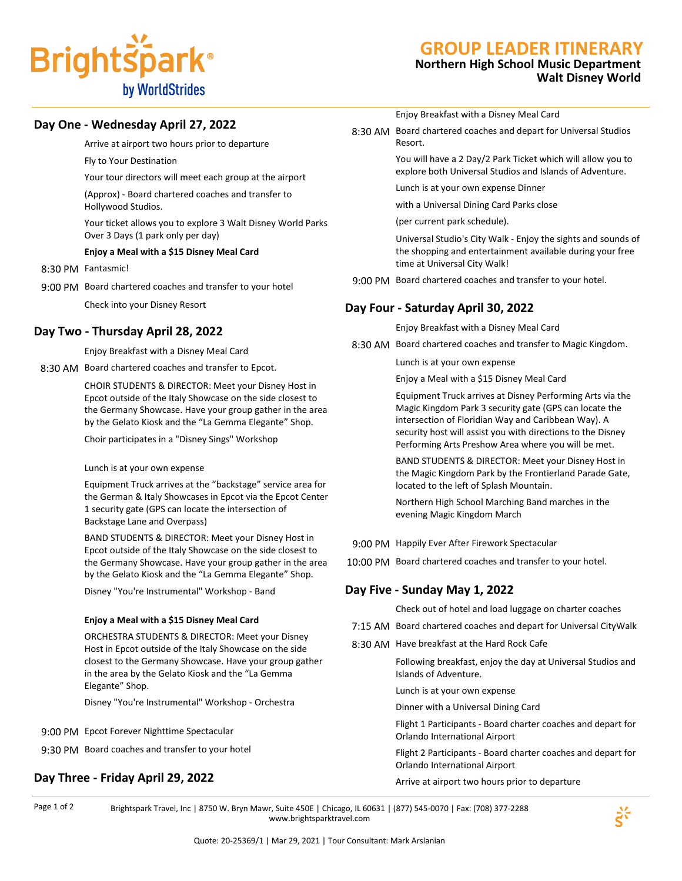

## **GROUP LEADER ITINERARY**

## **Northern High School Music Department Walt Disney World**

## **Day One - Wednesday April 27, 2022**

Arrive at airport two hours prior to departure

Fly to Your Destination

Your tour directors will meet each group at the airport

(Approx) - Board chartered coaches and transfer to Hollywood Studios.

Your ticket allows you to explore 3 Walt Disney World Parks Over 3 Days (1 park only per day)

#### **Enjoy a Meal with a \$15 Disney Meal Card**

- 8:30 PM Fantasmic!
- 9:00 PM Board chartered coaches and transfer to your hotel Check into your Disney Resort

## **Day Two - Thursday April 28, 2022**

Enjoy Breakfast with a Disney Meal Card

8:30 AM Board chartered coaches and transfer to Epcot.

CHOIR STUDENTS & DIRECTOR: Meet your Disney Host in Epcot outside of the Italy Showcase on the side closest to the Germany Showcase. Have your group gather in the area by the Gelato Kiosk and the "La Gemma Elegante" Shop.

Choir participates in a "Disney Sings" Workshop

#### Lunch is at your own expense

Equipment Truck arrives at the "backstage" service area for the German & Italy Showcases in Epcot via the Epcot Center 1 security gate (GPS can locate the intersection of Backstage Lane and Overpass)

BAND STUDENTS & DIRECTOR: Meet your Disney Host in Epcot outside of the Italy Showcase on the side closest to the Germany Showcase. Have your group gather in the area by the Gelato Kiosk and the "La Gemma Elegante" Shop.

Disney "You're Instrumental" Workshop - Band

#### **Enjoy a Meal with a \$15 Disney Meal Card**

ORCHESTRA STUDENTS & DIRECTOR: Meet your Disney Host in Epcot outside of the Italy Showcase on the side closest to the Germany Showcase. Have your group gather in the area by the Gelato Kiosk and the "La Gemma Elegante" Shop.

Disney "You're Instrumental" Workshop - Orchestra

- 9:00 PM Epcot Forever Nighttime Spectacular
- 9:30 PM Board coaches and transfer to your hotel

## **Day Three - Friday April 29, 2022**

Enjoy Breakfast with a Disney Meal Card

8:30 AM Board chartered coaches and depart for Universal Studios Resort.

> You will have a 2 Day/2 Park Ticket which will allow you to explore both Universal Studios and Islands of Adventure.

Lunch is at your own expense Dinner

with a Universal Dining Card Parks close

(per current park schedule).

Universal Studio's City Walk - Enjoy the sights and sounds of the shopping and entertainment available during your free time at Universal City Walk!

9:00 PM Board chartered coaches and transfer to your hotel.

### **Day Four - Saturday April 30, 2022**

Enjoy Breakfast with a Disney Meal Card

8:30 AM Board chartered coaches and transfer to Magic Kingdom.

Lunch is at your own expense

Enjoy a Meal with a \$15 Disney Meal Card

Equipment Truck arrives at Disney Performing Arts via the Magic Kingdom Park 3 security gate (GPS can locate the intersection of Floridian Way and Caribbean Way). A security host will assist you with directions to the Disney Performing Arts Preshow Area where you will be met.

BAND STUDENTS & DIRECTOR: Meet your Disney Host in the Magic Kingdom Park by the Frontierland Parade Gate, located to the left of Splash Mountain.

Northern High School Marching Band marches in the evening Magic Kingdom March

- 9:00 PM Happily Ever After Firework Spectacular
- 10:00 PM Board chartered coaches and transfer to your hotel.

## **Day Five - Sunday May 1, 2022**

Check out of hotel and load luggage on charter coaches

- 7:15 AM Board chartered coaches and depart for Universal CityWalk
- 8:30 AM Have breakfast at the Hard Rock Cafe

Following breakfast, enjoy the day at Universal Studios and Islands of Adventure.

Lunch is at your own expense

Dinner with a Universal Dining Card

Flight 1 Participants - Board charter coaches and depart for Orlando International Airport

Flight 2 Participants - Board charter coaches and depart for Orlando International Airport

Arrive at airport two hours prior to departure